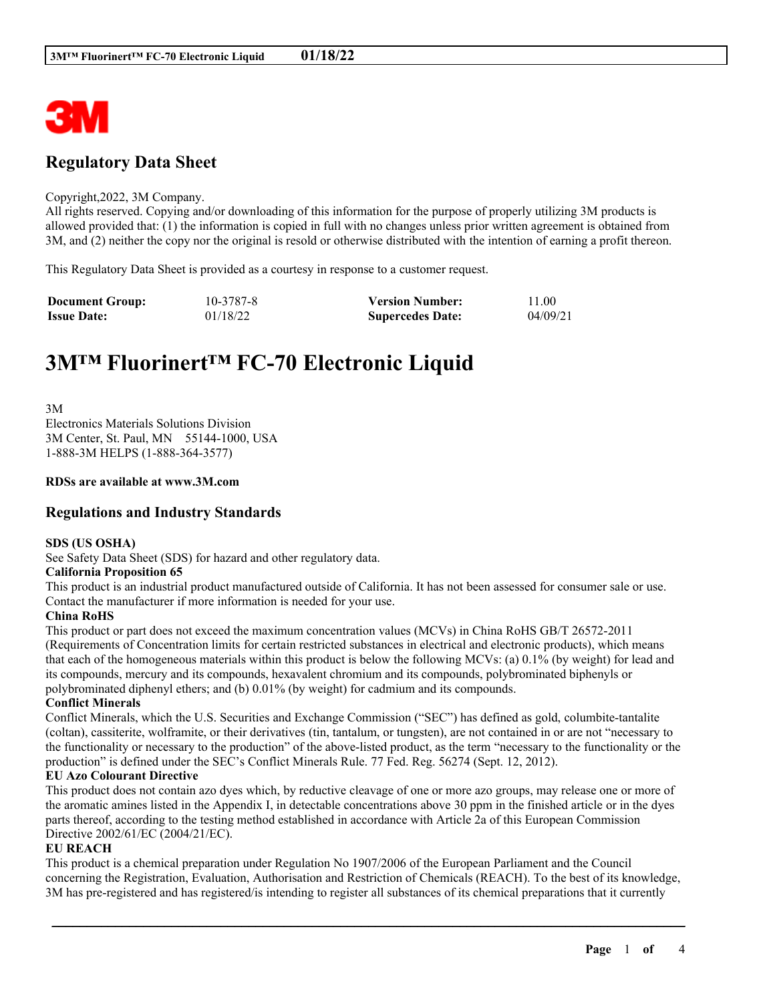

## **Regulatory Data Sheet**

#### Copyright,2022, 3M Company.

All rights reserved. Copying and/or downloading of this information for the purpose of properly utilizing 3M products is allowed provided that: (1) the information is copied in full with no changes unless prior written agreement is obtained from 3M, and (2) neither the copy nor the original is resold or otherwise distributed with the intention of earning a profit thereon.

This Regulatory Data Sheet is provided as a courtesy in response to a customer request.

| <b>Document Group:</b> | 10-3787-8 | <b>Version Number:</b>  | 11.00    |
|------------------------|-----------|-------------------------|----------|
| <b>Issue Date:</b>     | 01/18/22  | <b>Supercedes Date:</b> | 04/09/21 |

# **3M™ Fluorinert™ FC-70 Electronic Liquid**

3M Electronics Materials Solutions Division 3M Center, St. Paul, MN 55144-1000, USA 1-888-3M HELPS (1-888-364-3577)

#### **RDSs are available at www.3M.com**

## **Regulations and Industry Standards**

#### **SDS (US OSHA)**

See Safety Data Sheet (SDS) for hazard and other regulatory data.

#### **California Proposition 65**

This product is an industrial product manufactured outside of California. It has not been assessed for consumer sale or use. Contact the manufacturer if more information is needed for your use.

#### **China RoHS**

This product or part does not exceed the maximum concentration values (MCVs) in China RoHS GB/T 26572-2011 (Requirements of Concentration limits for certain restricted substances in electrical and electronic products), which means that each of the homogeneous materials within this product is below the following MCVs: (a) 0.1% (by weight) for lead and its compounds, mercury and its compounds, hexavalent chromium and its compounds, polybrominated biphenyls or polybrominated diphenyl ethers; and (b) 0.01% (by weight) for cadmium and its compounds.

#### **Conflict Minerals**

Conflict Minerals, which the U.S. Securities and Exchange Commission ("SEC") has defined as gold, columbite-tantalite (coltan), cassiterite, wolframite, or their derivatives (tin, tantalum, or tungsten), are not contained in or are not "necessary to the functionality or necessary to the production" of the above-listed product, as the term "necessary to the functionality or the production" is defined under the SEC's Conflict Minerals Rule. 77 Fed. Reg. 56274 (Sept. 12, 2012).

#### **EU Azo Colourant Directive**

This product does not contain azo dyes which, by reductive cleavage of one or more azo groups, may release one or more of the aromatic amines listed in the Appendix I, in detectable concentrations above 30 ppm in the finished article or in the dyes parts thereof, according to the testing method established in accordance with Article 2a of this European Commission Directive 2002/61/EC (2004/21/EC).

#### **EU REACH**

This product is a chemical preparation under Regulation No 1907/2006 of the European Parliament and the Council concerning the Registration, Evaluation, Authorisation and Restriction of Chemicals (REACH). To the best of its knowledge, 3M has pre-registered and has registered/is intending to register all substances of its chemical preparations that it currently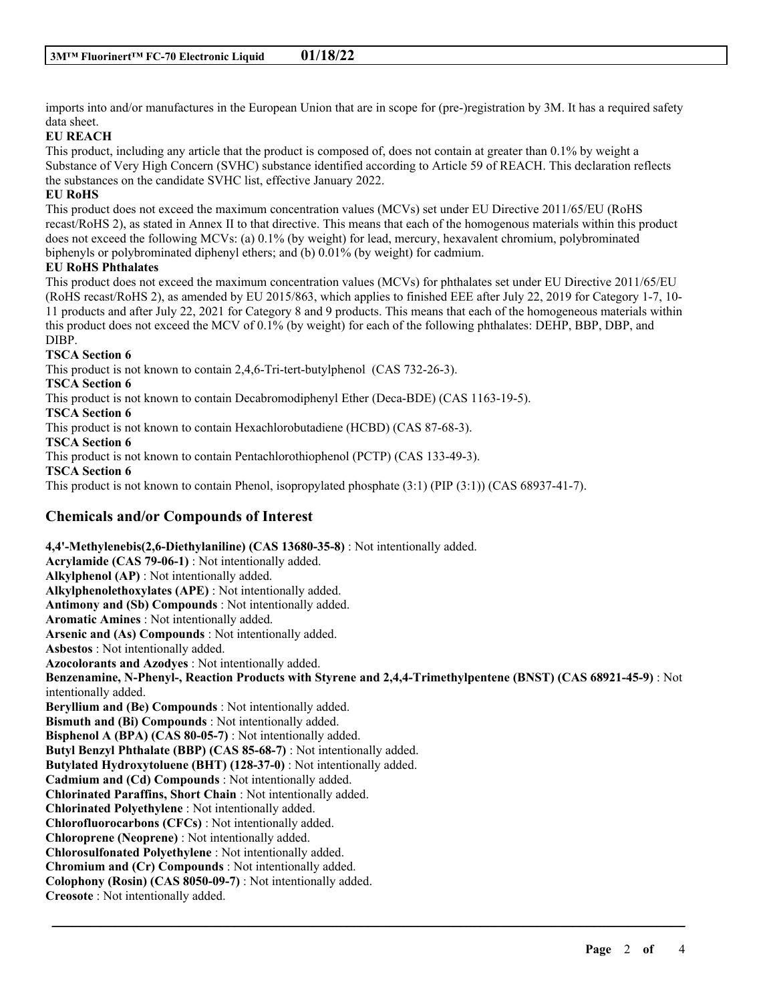imports into and/or manufactures in the European Union that are in scope for (pre-)registration by 3M. It has a required safety data sheet.

## **EU REACH**

This product, including any article that the product is composed of, does not contain at greater than 0.1% by weight a Substance of Very High Concern (SVHC) substance identified according to Article 59 of REACH. This declaration reflects the substances on the candidate SVHC list, effective January 2022.

#### **EU RoHS**

This product does not exceed the maximum concentration values (MCVs) set under EU Directive 2011/65/EU (RoHS recast/RoHS 2), as stated in Annex II to that directive. This means that each of the homogenous materials within this product does not exceed the following MCVs: (a) 0.1% (by weight) for lead, mercury, hexavalent chromium, polybrominated biphenyls or polybrominated diphenyl ethers; and (b) 0.01% (by weight) for cadmium.

#### **EU RoHS Phthalates**

This product does not exceed the maximum concentration values (MCVs) for phthalates set under EU Directive 2011/65/EU (RoHS recast/RoHS 2), as amended by EU 2015/863, which applies to finished EEE after July 22, 2019 for Category 1-7, 10- 11 products and after July 22, 2021 for Category 8 and 9 products. This means that each of the homogeneous materials within this product does not exceed the MCV of 0.1% (by weight) for each of the following phthalates: DEHP, BBP, DBP, and DIBP.

#### **TSCA Section 6**

This product is not known to contain 2,4,6-Tri-tert-butylphenol (CAS 732-26-3).

**TSCA Section 6**

This product is not known to contain Decabromodiphenyl Ether (Deca-BDE) (CAS 1163-19-5).

**TSCA Section 6**

This product is not known to contain Hexachlorobutadiene (HCBD) (CAS 87-68-3).

**TSCA Section 6**

This product is not known to contain Pentachlorothiophenol (PCTP) (CAS 133-49-3).

**TSCA Section 6**

This product is not known to contain Phenol, isopropylated phosphate (3:1) (PIP (3:1)) (CAS 68937-41-7).

## **Chemicals and/or Compounds of Interest**

**4,4'-Methylenebis(2,6-Diethylaniline) (CAS 13680-35-8)** : Not intentionally added. **Acrylamide (CAS 79-06-1)** : Not intentionally added. **Alkylphenol (AP)** : Not intentionally added. **Alkylphenolethoxylates (APE)** : Not intentionally added. **Antimony and (Sb) Compounds** : Not intentionally added. **Aromatic Amines** : Not intentionally added. **Arsenic and (As) Compounds** : Not intentionally added. **Asbestos** : Not intentionally added. **Azocolorants and Azodyes** : Not intentionally added. **Benzenamine, N-Phenyl-, Reaction Products with Styrene and 2,4,4-Trimethylpentene (BNST) (CAS 68921-45-9)** : Not intentionally added. **Beryllium and (Be) Compounds** : Not intentionally added. **Bismuth and (Bi) Compounds** : Not intentionally added. **Bisphenol A (BPA) (CAS 80-05-7)** : Not intentionally added. **Butyl Benzyl Phthalate (BBP) (CAS 85-68-7)** : Not intentionally added. **Butylated Hydroxytoluene (BHT) (128-37-0)** : Not intentionally added. **Cadmium and (Cd) Compounds** : Not intentionally added. **Chlorinated Paraffins, Short Chain** : Not intentionally added. **Chlorinated Polyethylene** : Not intentionally added. **Chlorofluorocarbons (CFCs)** : Not intentionally added. **Chloroprene (Neoprene)** : Not intentionally added. **Chlorosulfonated Polyethylene** : Not intentionally added. **Chromium and (Cr) Compounds** : Not intentionally added. **Colophony (Rosin) (CAS 8050-09-7)** : Not intentionally added. **Creosote** : Not intentionally added.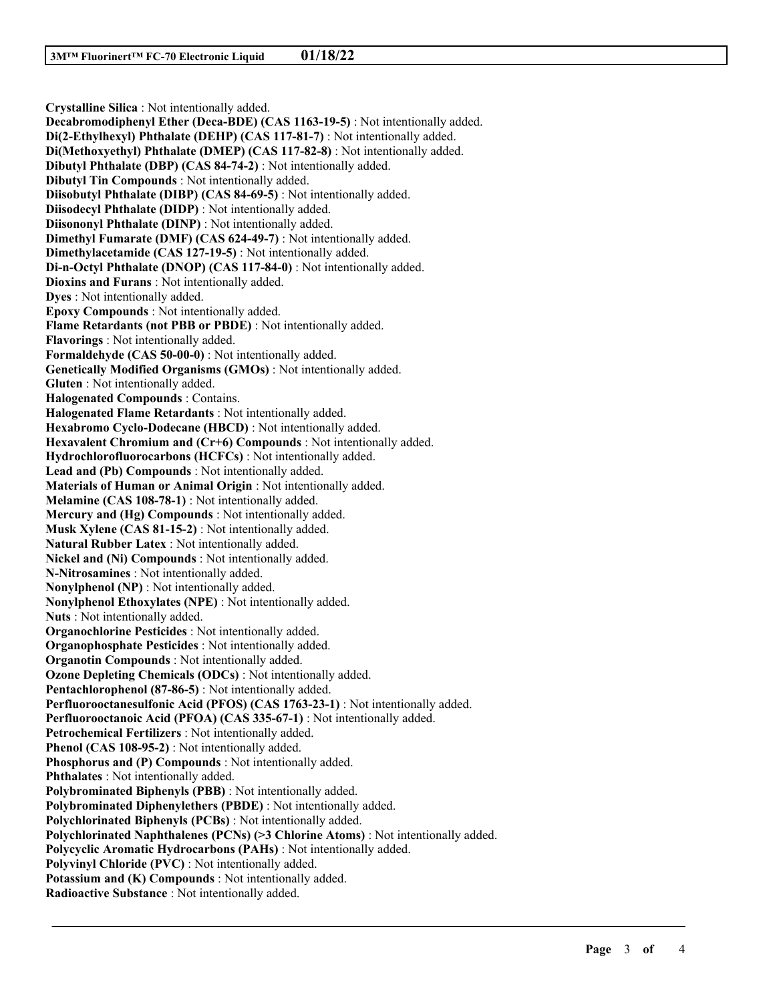**Crystalline Silica** : Not intentionally added. **Decabromodiphenyl Ether (Deca-BDE) (CAS 1163-19-5)** : Not intentionally added. **Di(2-Ethylhexyl) Phthalate (DEHP) (CAS 117-81-7)** : Not intentionally added. **Di(Methoxyethyl) Phthalate (DMEP) (CAS 117-82-8)** : Not intentionally added. **Dibutyl Phthalate (DBP) (CAS 84-74-2)** : Not intentionally added. **Dibutyl Tin Compounds** : Not intentionally added. **Diisobutyl Phthalate (DIBP) (CAS 84-69-5)** : Not intentionally added. **Diisodecyl Phthalate (DIDP)** : Not intentionally added. **Diisononyl Phthalate (DINP)** : Not intentionally added. **Dimethyl Fumarate (DMF) (CAS 624-49-7)** : Not intentionally added. **Dimethylacetamide (CAS 127-19-5)** : Not intentionally added. **Di-n-Octyl Phthalate (DNOP) (CAS 117-84-0)** : Not intentionally added. **Dioxins and Furans** : Not intentionally added. **Dyes** : Not intentionally added. **Epoxy Compounds** : Not intentionally added. **Flame Retardants (not PBB or PBDE)** : Not intentionally added. **Flavorings** : Not intentionally added. **Formaldehyde (CAS 50-00-0)** : Not intentionally added. **Genetically Modified Organisms (GMOs)** : Not intentionally added. **Gluten** : Not intentionally added. **Halogenated Compounds** : Contains. **Halogenated Flame Retardants** : Not intentionally added. **Hexabromo Cyclo-Dodecane (HBCD)** : Not intentionally added. **Hexavalent Chromium and (Cr+6) Compounds** : Not intentionally added. **Hydrochlorofluorocarbons (HCFCs)** : Not intentionally added. **Lead and (Pb) Compounds** : Not intentionally added. **Materials of Human or Animal Origin** : Not intentionally added. **Melamine (CAS 108-78-1)** : Not intentionally added. **Mercury and (Hg) Compounds** : Not intentionally added. **Musk Xylene (CAS 81-15-2)** : Not intentionally added. **Natural Rubber Latex** : Not intentionally added. **Nickel and (Ni) Compounds** : Not intentionally added. **N-Nitrosamines** : Not intentionally added. **Nonylphenol (NP)** : Not intentionally added. **Nonylphenol Ethoxylates (NPE)** : Not intentionally added. **Nuts** : Not intentionally added. **Organochlorine Pesticides** : Not intentionally added. **Organophosphate Pesticides** : Not intentionally added. **Organotin Compounds** : Not intentionally added. **Ozone Depleting Chemicals (ODCs)** : Not intentionally added. **Pentachlorophenol (87-86-5)** : Not intentionally added. **Perfluorooctanesulfonic Acid (PFOS) (CAS 1763-23-1)** : Not intentionally added. **Perfluorooctanoic Acid (PFOA) (CAS 335-67-1)** : Not intentionally added. **Petrochemical Fertilizers** : Not intentionally added. **Phenol (CAS 108-95-2)** : Not intentionally added. **Phosphorus and (P) Compounds** : Not intentionally added. **Phthalates** : Not intentionally added. **Polybrominated Biphenyls (PBB)** : Not intentionally added. **Polybrominated Diphenylethers (PBDE)** : Not intentionally added. **Polychlorinated Biphenyls (PCBs)** : Not intentionally added. **Polychlorinated Naphthalenes (PCNs) (>3 Chlorine Atoms)** : Not intentionally added. **Polycyclic Aromatic Hydrocarbons (PAHs)** : Not intentionally added. **Polyvinyl Chloride (PVC)** : Not intentionally added. **Potassium and (K) Compounds** : Not intentionally added. **Radioactive Substance** : Not intentionally added.